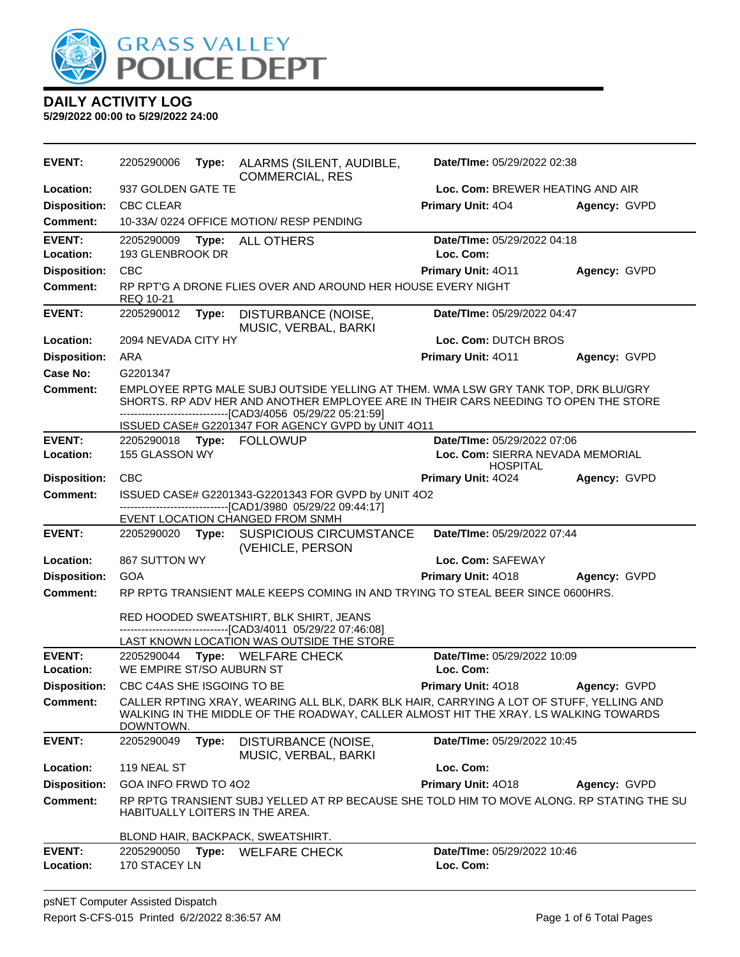

| <b>EVENT:</b>              | 2205290006<br>ALARMS (SILENT, AUDIBLE,<br>Type:<br><b>COMMERCIAL, RES</b>                                                                                                                                                                                                                        | Date/TIme: 05/29/2022 02:38                                  |  |  |
|----------------------------|--------------------------------------------------------------------------------------------------------------------------------------------------------------------------------------------------------------------------------------------------------------------------------------------------|--------------------------------------------------------------|--|--|
| Location:                  | 937 GOLDEN GATE TE                                                                                                                                                                                                                                                                               | Loc. Com: BREWER HEATING AND AIR                             |  |  |
| <b>Disposition:</b>        | <b>CBC CLEAR</b>                                                                                                                                                                                                                                                                                 | Primary Unit: 404<br>Agency: GVPD                            |  |  |
| Comment:                   | 10-33A/ 0224 OFFICE MOTION/ RESP PENDING                                                                                                                                                                                                                                                         |                                                              |  |  |
| <b>EVENT:</b><br>Location: | 2205290009<br>Type:<br><b>ALL OTHERS</b><br>193 GLENBROOK DR                                                                                                                                                                                                                                     | Date/TIme: 05/29/2022 04:18<br>Loc. Com:                     |  |  |
| <b>Disposition:</b>        | <b>CBC</b>                                                                                                                                                                                                                                                                                       | Primary Unit: 4011<br>Agency: GVPD                           |  |  |
| <b>Comment:</b>            | RP RPT'G A DRONE FLIES OVER AND AROUND HER HOUSE EVERY NIGHT<br>REQ 10-21                                                                                                                                                                                                                        |                                                              |  |  |
| <b>EVENT:</b>              | DISTURBANCE (NOISE,<br>2205290012<br>Type:<br>MUSIC, VERBAL, BARKI                                                                                                                                                                                                                               | Date/TIme: 05/29/2022 04:47                                  |  |  |
| Location:                  | 2094 NEVADA CITY HY                                                                                                                                                                                                                                                                              | Loc. Com: DUTCH BROS                                         |  |  |
| <b>Disposition:</b>        | <b>ARA</b>                                                                                                                                                                                                                                                                                       | Primary Unit: 4011<br>Agency: GVPD                           |  |  |
| Case No:                   | G2201347                                                                                                                                                                                                                                                                                         |                                                              |  |  |
| Comment:                   | EMPLOYEE RPTG MALE SUBJ OUTSIDE YELLING AT THEM. WMA LSW GRY TANK TOP, DRK BLU/GRY<br>SHORTS. RP ADV HER AND ANOTHER EMPLOYEE ARE IN THEIR CARS NEEDING TO OPEN THE STORE<br>--------------------------------[CAD3/4056 05/29/22 05:21:59]<br>ISSUED CASE# G2201347 FOR AGENCY GVPD by UNIT 4O11 |                                                              |  |  |
| <b>EVENT:</b>              | 2205290018 Type: FOLLOWUP                                                                                                                                                                                                                                                                        | Date/TIme: 05/29/2022 07:06                                  |  |  |
| Location:                  | 155 GLASSON WY                                                                                                                                                                                                                                                                                   | Loc. Com: SIERRA NEVADA MEMORIAL                             |  |  |
| <b>Disposition:</b>        | <b>CBC</b>                                                                                                                                                                                                                                                                                       | <b>HOSPITAL</b><br><b>Primary Unit: 4024</b><br>Agency: GVPD |  |  |
| <b>Comment:</b>            | ISSUED CASE# G2201343-G2201343 FOR GVPD by UNIT 4O2                                                                                                                                                                                                                                              |                                                              |  |  |
|                            | -----------------------[CAD1/3980_05/29/22_09:44:17]<br>EVENT LOCATION CHANGED FROM SNMH                                                                                                                                                                                                         |                                                              |  |  |
| <b>EVENT:</b>              | 2205290020 Type: SUSPICIOUS CIRCUMSTANCE<br>(VEHICLE, PERSON                                                                                                                                                                                                                                     | Date/TIme: 05/29/2022 07:44                                  |  |  |
| Location:                  | 867 SUTTON WY                                                                                                                                                                                                                                                                                    | Loc. Com: SAFEWAY                                            |  |  |
| <b>Disposition:</b>        | <b>GOA</b>                                                                                                                                                                                                                                                                                       | Primary Unit: 4018<br>Agency: GVPD                           |  |  |
| <b>Comment:</b>            | RP RPTG TRANSIENT MALE KEEPS COMING IN AND TRYING TO STEAL BEER SINCE 0600HRS.                                                                                                                                                                                                                   |                                                              |  |  |
|                            | RED HOODED SWEATSHIRT, BLK SHIRT, JEANS<br>---------------------------[CAD3/4011 05/29/22 07:46:08]<br>LAST KNOWN LOCATION WAS OUTSIDE THE STORE                                                                                                                                                 |                                                              |  |  |
| <b>EVENT:</b>              | 2205290044 Type: WELFARE CHECK                                                                                                                                                                                                                                                                   | Date/TIme: 05/29/2022 10:09                                  |  |  |
| Location:                  | WE EMPIRE ST/SO AUBURN ST                                                                                                                                                                                                                                                                        | Loc. Com:                                                    |  |  |
| <b>Disposition:</b>        | CBC C4AS SHE ISGOING TO BE                                                                                                                                                                                                                                                                       | Primary Unit: 4018<br>Agency: GVPD                           |  |  |
| <b>Comment:</b>            | CALLER RPTING XRAY, WEARING ALL BLK, DARK BLK HAIR, CARRYING A LOT OF STUFF, YELLING AND<br>WALKING IN THE MIDDLE OF THE ROADWAY, CALLER ALMOST HIT THE XRAY. LS WALKING TOWARDS<br>DOWNTOWN.                                                                                                    |                                                              |  |  |
| <b>EVENT:</b>              | DISTURBANCE (NOISE,<br>2205290049<br>Type:<br>MUSIC, VERBAL, BARKI                                                                                                                                                                                                                               | Date/TIme: 05/29/2022 10:45                                  |  |  |
| Location:                  | 119 NEAL ST                                                                                                                                                                                                                                                                                      | Loc. Com:                                                    |  |  |
| <b>Disposition:</b>        | GOA INFO FRWD TO 402                                                                                                                                                                                                                                                                             | Primary Unit: 4018<br>Agency: GVPD                           |  |  |
| <b>Comment:</b>            | RP RPTG TRANSIENT SUBJ YELLED AT RP BECAUSE SHE TOLD HIM TO MOVE ALONG. RP STATING THE SU<br>HABITUALLY LOITERS IN THE AREA.                                                                                                                                                                     |                                                              |  |  |
|                            | BLOND HAIR, BACKPACK, SWEATSHIRT.                                                                                                                                                                                                                                                                |                                                              |  |  |
| <b>EVENT:</b><br>Location: | 2205290050<br><b>WELFARE CHECK</b><br>Type:<br>170 STACEY LN                                                                                                                                                                                                                                     | Date/TIme: 05/29/2022 10:46<br>Loc. Com:                     |  |  |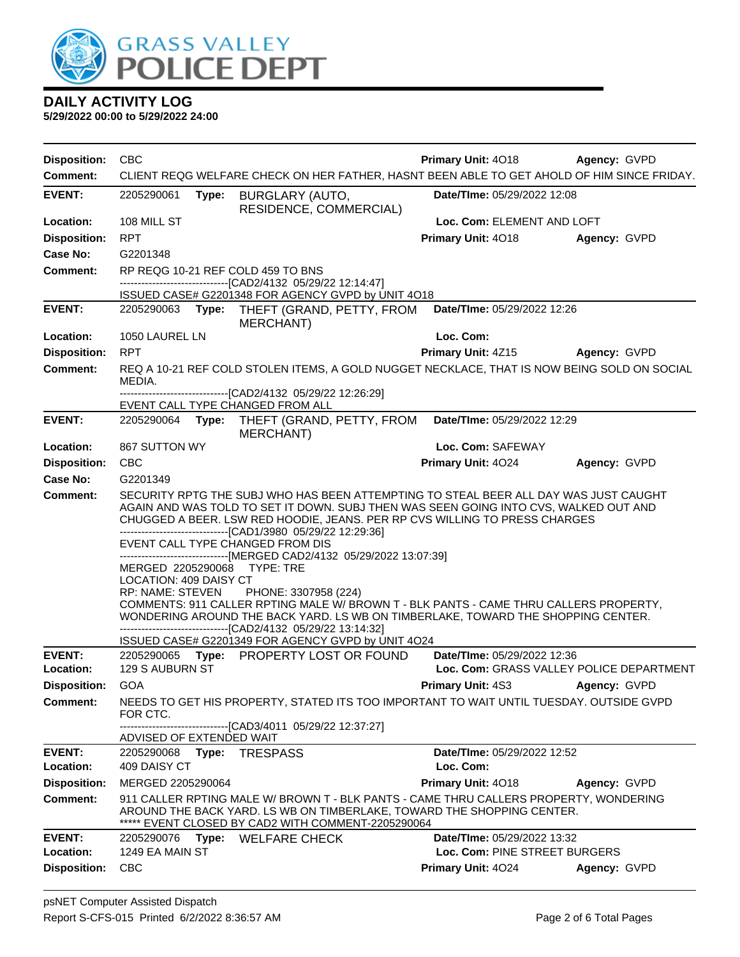

| <b>Disposition:</b>        | <b>CBC</b>                                                                                                                                                                                                                                                                                                                                                                                                                                                                                                                                                                                                                                                                                                                                                                                                                                         | Primary Unit: 4018                                                      | Agency: GVPD |  |  |  |
|----------------------------|----------------------------------------------------------------------------------------------------------------------------------------------------------------------------------------------------------------------------------------------------------------------------------------------------------------------------------------------------------------------------------------------------------------------------------------------------------------------------------------------------------------------------------------------------------------------------------------------------------------------------------------------------------------------------------------------------------------------------------------------------------------------------------------------------------------------------------------------------|-------------------------------------------------------------------------|--------------|--|--|--|
| <b>Comment:</b>            | CLIENT REQG WELFARE CHECK ON HER FATHER, HASNT BEEN ABLE TO GET AHOLD OF HIM SINCE FRIDAY.                                                                                                                                                                                                                                                                                                                                                                                                                                                                                                                                                                                                                                                                                                                                                         |                                                                         |              |  |  |  |
| <b>EVENT:</b>              | 2205290061<br>Type:<br><b>BURGLARY (AUTO,</b><br>RESIDENCE, COMMERCIAL)                                                                                                                                                                                                                                                                                                                                                                                                                                                                                                                                                                                                                                                                                                                                                                            | Date/TIme: 05/29/2022 12:08                                             |              |  |  |  |
| Location:                  | 108 MILL ST                                                                                                                                                                                                                                                                                                                                                                                                                                                                                                                                                                                                                                                                                                                                                                                                                                        | Loc. Com: ELEMENT AND LOFT                                              |              |  |  |  |
| <b>Disposition:</b>        | <b>RPT</b>                                                                                                                                                                                                                                                                                                                                                                                                                                                                                                                                                                                                                                                                                                                                                                                                                                         | Primary Unit: 4018                                                      | Agency: GVPD |  |  |  |
| Case No:                   | G2201348                                                                                                                                                                                                                                                                                                                                                                                                                                                                                                                                                                                                                                                                                                                                                                                                                                           |                                                                         |              |  |  |  |
| Comment:                   | RP REQG 10-21 REF COLD 459 TO BNS                                                                                                                                                                                                                                                                                                                                                                                                                                                                                                                                                                                                                                                                                                                                                                                                                  |                                                                         |              |  |  |  |
|                            | -------------------------------[CAD2/4132 05/29/22 12:14:47]<br>ISSUED CASE# G2201348 FOR AGENCY GVPD by UNIT 4O18                                                                                                                                                                                                                                                                                                                                                                                                                                                                                                                                                                                                                                                                                                                                 |                                                                         |              |  |  |  |
| <b>EVENT:</b>              | 2205290063<br>Type:<br>THEFT (GRAND, PETTY, FROM                                                                                                                                                                                                                                                                                                                                                                                                                                                                                                                                                                                                                                                                                                                                                                                                   | Date/TIme: 05/29/2022 12:26                                             |              |  |  |  |
| Location:                  | MERCHANT)<br>1050 LAUREL LN                                                                                                                                                                                                                                                                                                                                                                                                                                                                                                                                                                                                                                                                                                                                                                                                                        | Loc. Com:                                                               |              |  |  |  |
| <b>Disposition:</b>        | <b>RPT</b>                                                                                                                                                                                                                                                                                                                                                                                                                                                                                                                                                                                                                                                                                                                                                                                                                                         | <b>Primary Unit: 4Z15</b>                                               | Agency: GVPD |  |  |  |
| <b>Comment:</b>            | REQ A 10-21 REF COLD STOLEN ITEMS, A GOLD NUGGET NECKLACE, THAT IS NOW BEING SOLD ON SOCIAL<br>MEDIA.                                                                                                                                                                                                                                                                                                                                                                                                                                                                                                                                                                                                                                                                                                                                              |                                                                         |              |  |  |  |
|                            | -------------------------------[CAD2/4132 05/29/22 12:26:29]                                                                                                                                                                                                                                                                                                                                                                                                                                                                                                                                                                                                                                                                                                                                                                                       |                                                                         |              |  |  |  |
|                            | EVENT CALL TYPE CHANGED FROM ALL                                                                                                                                                                                                                                                                                                                                                                                                                                                                                                                                                                                                                                                                                                                                                                                                                   |                                                                         |              |  |  |  |
| <b>EVENT:</b>              | 2205290064<br>Type:<br>THEFT (GRAND, PETTY, FROM<br><b>MERCHANT)</b>                                                                                                                                                                                                                                                                                                                                                                                                                                                                                                                                                                                                                                                                                                                                                                               | Date/TIme: 05/29/2022 12:29                                             |              |  |  |  |
| Location:                  | 867 SUTTON WY                                                                                                                                                                                                                                                                                                                                                                                                                                                                                                                                                                                                                                                                                                                                                                                                                                      | Loc. Com: SAFEWAY                                                       |              |  |  |  |
| <b>Disposition:</b>        | <b>CBC</b>                                                                                                                                                                                                                                                                                                                                                                                                                                                                                                                                                                                                                                                                                                                                                                                                                                         | Primary Unit: 4024                                                      | Agency: GVPD |  |  |  |
| Case No:                   | G2201349                                                                                                                                                                                                                                                                                                                                                                                                                                                                                                                                                                                                                                                                                                                                                                                                                                           |                                                                         |              |  |  |  |
| <b>Comment:</b>            | SECURITY RPTG THE SUBJ WHO HAS BEEN ATTEMPTING TO STEAL BEER ALL DAY WAS JUST CAUGHT<br>AGAIN AND WAS TOLD TO SET IT DOWN. SUBJ THEN WAS SEEN GOING INTO CVS, WALKED OUT AND<br>CHUGGED A BEER. LSW RED HOODIE, JEANS. PER RP CVS WILLING TO PRESS CHARGES<br>-------------------------------[CAD1/3980 05/29/22 12:29:36]<br>EVENT CALL TYPE CHANGED FROM DIS<br>-------------------------------[MERGED CAD2/4132 05/29/2022 13:07:39]<br>MERGED 2205290068<br>TYPE: TRE<br>LOCATION: 409 DAISY CT<br>RP: NAME: STEVEN<br>PHONE: 3307958 (224)<br>COMMENTS: 911 CALLER RPTING MALE W/ BROWN T - BLK PANTS - CAME THRU CALLERS PROPERTY,<br>WONDERING AROUND THE BACK YARD. LS WB ON TIMBERLAKE, TOWARD THE SHOPPING CENTER.<br>-------------------------------[CAD2/4132 05/29/22 13:14:32]<br>ISSUED CASE# G2201349 FOR AGENCY GVPD by UNIT 4O24 |                                                                         |              |  |  |  |
| <b>EVENT:</b><br>Location: | 2205290065 Type: PROPERTY LOST OR FOUND<br>129 S AUBURN ST                                                                                                                                                                                                                                                                                                                                                                                                                                                                                                                                                                                                                                                                                                                                                                                         | Date/TIme: 05/29/2022 12:36<br>Loc. Com: GRASS VALLEY POLICE DEPARTMENT |              |  |  |  |
| <b>Disposition:</b>        | GOA                                                                                                                                                                                                                                                                                                                                                                                                                                                                                                                                                                                                                                                                                                                                                                                                                                                | <b>Primary Unit: 4S3</b>                                                | Agency: GVPD |  |  |  |
| <b>Comment:</b>            | NEEDS TO GET HIS PROPERTY, STATED ITS TOO IMPORTANT TO WAIT UNTIL TUESDAY. OUTSIDE GVPD<br>FOR CTC.                                                                                                                                                                                                                                                                                                                                                                                                                                                                                                                                                                                                                                                                                                                                                |                                                                         |              |  |  |  |
|                            | -----------------------[CAD3/4011_05/29/22 12:37:27]                                                                                                                                                                                                                                                                                                                                                                                                                                                                                                                                                                                                                                                                                                                                                                                               |                                                                         |              |  |  |  |
| <b>EVENT:</b>              | ADVISED OF EXTENDED WAIT<br><b>TRESPASS</b><br>2205290068<br>Type:                                                                                                                                                                                                                                                                                                                                                                                                                                                                                                                                                                                                                                                                                                                                                                                 | Date/TIme: 05/29/2022 12:52                                             |              |  |  |  |
| Location:                  | 409 DAISY CT                                                                                                                                                                                                                                                                                                                                                                                                                                                                                                                                                                                                                                                                                                                                                                                                                                       | Loc. Com:                                                               |              |  |  |  |
| <b>Disposition:</b>        | MERGED 2205290064                                                                                                                                                                                                                                                                                                                                                                                                                                                                                                                                                                                                                                                                                                                                                                                                                                  | Primary Unit: 4018                                                      | Agency: GVPD |  |  |  |
| <b>Comment:</b>            | 911 CALLER RPTING MALE W/ BROWN T - BLK PANTS - CAME THRU CALLERS PROPERTY, WONDERING<br>AROUND THE BACK YARD. LS WB ON TIMBERLAKE, TOWARD THE SHOPPING CENTER.<br>EVENT CLOSED BY CAD2 WITH COMMENT-2205290064                                                                                                                                                                                                                                                                                                                                                                                                                                                                                                                                                                                                                                    |                                                                         |              |  |  |  |
| <b>EVENT:</b>              | Type: WELFARE CHECK<br>2205290076                                                                                                                                                                                                                                                                                                                                                                                                                                                                                                                                                                                                                                                                                                                                                                                                                  | Date/TIme: 05/29/2022 13:32                                             |              |  |  |  |
| Location:                  | 1249 EA MAIN ST                                                                                                                                                                                                                                                                                                                                                                                                                                                                                                                                                                                                                                                                                                                                                                                                                                    | Loc. Com: PINE STREET BURGERS                                           |              |  |  |  |
| <b>Disposition:</b>        | <b>CBC</b>                                                                                                                                                                                                                                                                                                                                                                                                                                                                                                                                                                                                                                                                                                                                                                                                                                         | Primary Unit: 4024                                                      | Agency: GVPD |  |  |  |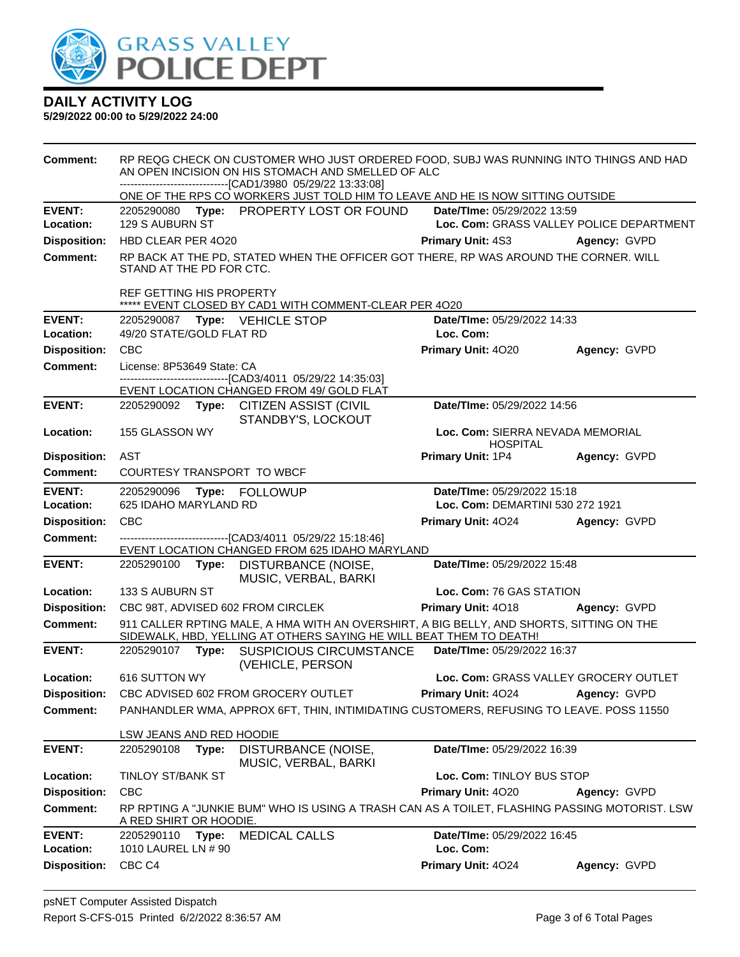

| Comment:                         | RP REQG CHECK ON CUSTOMER WHO JUST ORDERED FOOD, SUBJ WAS RUNNING INTO THINGS AND HAD<br>AN OPEN INCISION ON HIS STOMACH AND SMELLED OF ALC                     |                                                                                                                |                                                                                                           |                                                                                         |              |
|----------------------------------|-----------------------------------------------------------------------------------------------------------------------------------------------------------------|----------------------------------------------------------------------------------------------------------------|-----------------------------------------------------------------------------------------------------------|-----------------------------------------------------------------------------------------|--------------|
|                                  | -------------------------------[CAD1/3980 05/29/22 13:33:08]<br>ONE OF THE RPS CO WORKERS JUST TOLD HIM TO LEAVE AND HE IS NOW SITTING OUTSIDE                  |                                                                                                                |                                                                                                           |                                                                                         |              |
| <b>EVENT:</b>                    |                                                                                                                                                                 |                                                                                                                | 2205290080 Type: PROPERTY LOST OR FOUND                                                                   | Date/TIme: 05/29/2022 13:59                                                             |              |
| Location:                        | 129 S AUBURN ST<br>Loc. Com: GRASS VALLEY POLICE DEPARTMENT                                                                                                     |                                                                                                                |                                                                                                           |                                                                                         |              |
| <b>Disposition:</b>              | HBD CLEAR PER 4020<br><b>Primary Unit: 4S3</b><br>Agency: GVPD                                                                                                  |                                                                                                                |                                                                                                           |                                                                                         |              |
| <b>Comment:</b>                  | RP BACK AT THE PD, STATED WHEN THE OFFICER GOT THERE, RP WAS AROUND THE CORNER. WILL<br>STAND AT THE PD FOR CTC.                                                |                                                                                                                |                                                                                                           |                                                                                         |              |
|                                  | <b>REF GETTING HIS PROPERTY</b>                                                                                                                                 |                                                                                                                | ***** EVENT CLOSED BY CAD1 WITH COMMENT-CLEAR PER 4020                                                    |                                                                                         |              |
| <b>EVENT:</b>                    |                                                                                                                                                                 |                                                                                                                | 2205290087 Type: VEHICLE STOP                                                                             | Date/TIme: 05/29/2022 14:33                                                             |              |
| Location:                        | 49/20 STATE/GOLD FLAT RD                                                                                                                                        |                                                                                                                |                                                                                                           | Loc. Com:                                                                               |              |
| <b>Disposition:</b>              | <b>CBC</b>                                                                                                                                                      |                                                                                                                |                                                                                                           | Primary Unit: 4020                                                                      | Agency: GVPD |
| <b>Comment:</b>                  | License: 8P53649 State: CA                                                                                                                                      |                                                                                                                |                                                                                                           |                                                                                         |              |
|                                  |                                                                                                                                                                 |                                                                                                                | -------------------------------[CAD3/4011 05/29/22 14:35:03]<br>EVENT LOCATION CHANGED FROM 49/ GOLD FLAT |                                                                                         |              |
| <b>EVENT:</b>                    |                                                                                                                                                                 |                                                                                                                | 2205290092 Type: CITIZEN ASSIST (CIVIL<br>STANDBY'S, LOCKOUT                                              | Date/TIme: 05/29/2022 14:56                                                             |              |
| Location:                        | 155 GLASSON WY<br>Loc. Com: SIERRA NEVADA MEMORIAL<br><b>HOSPITAL</b>                                                                                           |                                                                                                                |                                                                                                           |                                                                                         |              |
| <b>Disposition:</b>              | AST                                                                                                                                                             |                                                                                                                |                                                                                                           | Primary Unit: 1P4                                                                       | Agency: GVPD |
| <b>Comment:</b>                  | COURTESY TRANSPORT TO WBCF                                                                                                                                      |                                                                                                                |                                                                                                           |                                                                                         |              |
| <b>EVENT:</b>                    | Date/TIme: 05/29/2022 15:18<br>2205290096<br><b>Type: FOLLOWUP</b>                                                                                              |                                                                                                                |                                                                                                           |                                                                                         |              |
| Location:                        | 625 IDAHO MARYLAND RD                                                                                                                                           |                                                                                                                |                                                                                                           | Loc. Com: DEMARTINI 530 272 1921                                                        |              |
| <b>Disposition:</b>              | <b>CBC</b>                                                                                                                                                      |                                                                                                                |                                                                                                           | Primary Unit: 4024                                                                      | Agency: GVPD |
| <b>Comment:</b>                  |                                                                                                                                                                 | -------------------------------[CAD3/4011_05/29/22_15:18:46]<br>EVENT LOCATION CHANGED FROM 625 IDAHO MARYLAND |                                                                                                           |                                                                                         |              |
| <b>EVENT:</b>                    |                                                                                                                                                                 |                                                                                                                | 2205290100 Type: DISTURBANCE (NOISE,<br>MUSIC, VERBAL, BARKI                                              | Date/TIme: 05/29/2022 15:48                                                             |              |
| Location:                        | 133 S AUBURN ST                                                                                                                                                 |                                                                                                                |                                                                                                           | Loc. Com: 76 GAS STATION                                                                |              |
| <b>Disposition:</b>              |                                                                                                                                                                 |                                                                                                                | CBC 98T, ADVISED 602 FROM CIRCLEK                                                                         | Primary Unit: 4018                                                                      | Agency: GVPD |
| Comment:                         | 911 CALLER RPTING MALE, A HMA WITH AN OVERSHIRT, A BIG BELLY, AND SHORTS, SITTING ON THE<br>SIDEWALK, HBD, YELLING AT OTHERS SAYING HE WILL BEAT THEM TO DEATH! |                                                                                                                |                                                                                                           |                                                                                         |              |
| <b>EVENT:</b>                    |                                                                                                                                                                 |                                                                                                                | 2205290107 Type: SUSPICIOUS CIRCUMSTANCE<br>(VEHICLE, PERSON                                              | Date/TIme: 05/29/2022 16:37                                                             |              |
| Location:                        | 616 SUTTON WY<br>Loc. Com: GRASS VALLEY GROCERY OUTLET                                                                                                          |                                                                                                                |                                                                                                           |                                                                                         |              |
|                                  |                                                                                                                                                                 |                                                                                                                |                                                                                                           | Disposition: CBC ADVISED 602 FROM GROCERY OUTLET <b>Primary Unit: 4024</b> Agency: GVPD |              |
| Comment:                         |                                                                                                                                                                 |                                                                                                                | PANHANDLER WMA, APPROX 6FT, THIN, INTIMIDATING CUSTOMERS, REFUSING TO LEAVE. POSS 11550                   |                                                                                         |              |
|                                  | LSW JEANS AND RED HOODIE                                                                                                                                        |                                                                                                                |                                                                                                           |                                                                                         |              |
| <b>EVENT:</b>                    | 2205290108                                                                                                                                                      | Type:                                                                                                          | DISTURBANCE (NOISE,<br>MUSIC, VERBAL, BARKI                                                               | Date/TIme: 05/29/2022 16:39                                                             |              |
| Location:                        | <b>TINLOY ST/BANK ST</b><br>Loc. Com: TINLOY BUS STOP                                                                                                           |                                                                                                                |                                                                                                           |                                                                                         |              |
| <b>Disposition:</b>              | <b>CBC</b>                                                                                                                                                      |                                                                                                                |                                                                                                           | Primary Unit: 4020                                                                      | Agency: GVPD |
| <b>Comment:</b>                  | RP RPTING A "JUNKIE BUM" WHO IS USING A TRASH CAN AS A TOILET, FLASHING PASSING MOTORIST. LSW<br>A RED SHIRT OR HOODIE.                                         |                                                                                                                |                                                                                                           |                                                                                         |              |
| <b>EVENT:</b>                    |                                                                                                                                                                 |                                                                                                                |                                                                                                           |                                                                                         |              |
|                                  | 2205290110                                                                                                                                                      | Type:                                                                                                          | <b>MEDICAL CALLS</b>                                                                                      | Date/TIme: 05/29/2022 16:45                                                             |              |
| Location:<br><b>Disposition:</b> | 1010 LAUREL LN # 90<br>CBC <sub>C4</sub>                                                                                                                        |                                                                                                                |                                                                                                           | Loc. Com:<br>Primary Unit: 4024                                                         | Agency: GVPD |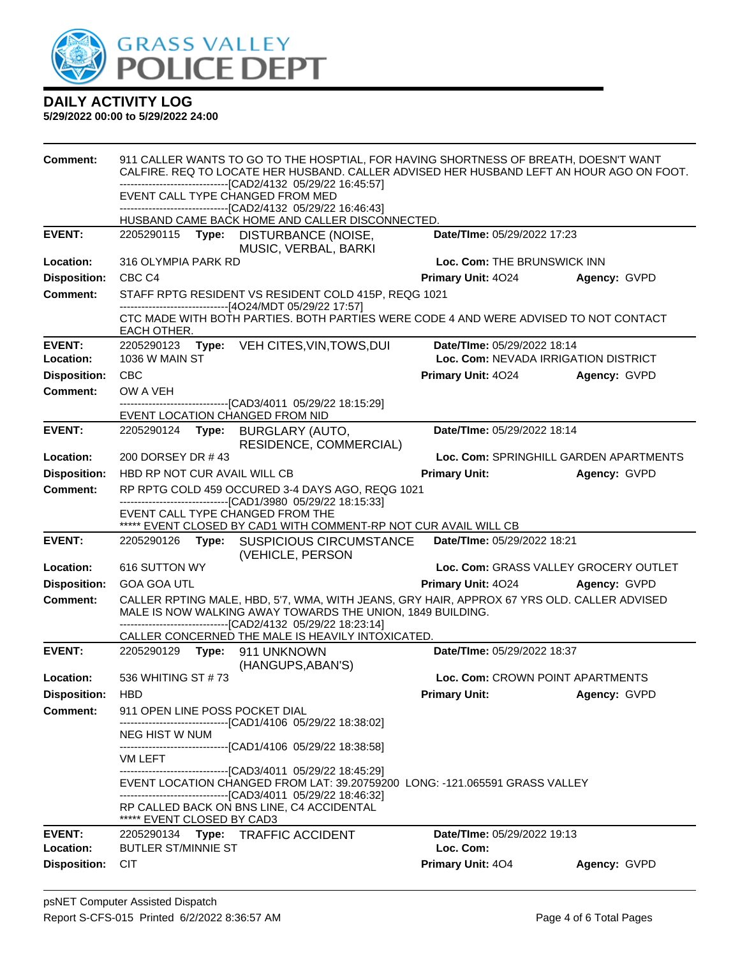

| <b>Comment:</b>     | 911 CALLER WANTS TO GO TO THE HOSPTIAL, FOR HAVING SHORTNESS OF BREATH, DOESN'T WANT<br>CALFIRE. REQ TO LOCATE HER HUSBAND. CALLER ADVISED HER HUSBAND LEFT AN HOUR AGO ON FOOT.                                         |                                                                                                                                                 |                                      |                                        |  |  |
|---------------------|--------------------------------------------------------------------------------------------------------------------------------------------------------------------------------------------------------------------------|-------------------------------------------------------------------------------------------------------------------------------------------------|--------------------------------------|----------------------------------------|--|--|
|                     | --------------------------------[CAD2/4132 05/29/22 16:45:57]                                                                                                                                                            |                                                                                                                                                 |                                      |                                        |  |  |
|                     | EVENT CALL TYPE CHANGED FROM MED<br>--------------------------------[CAD2/4132 05/29/22 16:46:43]                                                                                                                        |                                                                                                                                                 |                                      |                                        |  |  |
|                     |                                                                                                                                                                                                                          | HUSBAND CAME BACK HOME AND CALLER DISCONNECTED.                                                                                                 |                                      |                                        |  |  |
| <b>EVENT:</b>       |                                                                                                                                                                                                                          | Date/TIme: 05/29/2022 17:23<br>2205290115 Type: DISTURBANCE (NOISE,<br>MUSIC, VERBAL, BARKI                                                     |                                      |                                        |  |  |
| Location:           | 316 OLYMPIA PARK RD<br>Loc. Com: THE BRUNSWICK INN                                                                                                                                                                       |                                                                                                                                                 |                                      |                                        |  |  |
| <b>Disposition:</b> | CBC <sub>C4</sub>                                                                                                                                                                                                        |                                                                                                                                                 | Primary Unit: 4024                   | Agency: GVPD                           |  |  |
| Comment:            |                                                                                                                                                                                                                          | STAFF RPTG RESIDENT VS RESIDENT COLD 415P, REQG 1021                                                                                            |                                      |                                        |  |  |
|                     | EACH OTHER.                                                                                                                                                                                                              | ------------------------------[4O24/MDT 05/29/22 17:57]<br>CTC MADE WITH BOTH PARTIES. BOTH PARTIES WERE CODE 4 AND WERE ADVISED TO NOT CONTACT |                                      |                                        |  |  |
| <b>EVENT:</b>       | 2205290123                                                                                                                                                                                                               | Type: VEH CITES, VIN, TOWS, DUI                                                                                                                 | Date/TIme: 05/29/2022 18:14          |                                        |  |  |
| Location:           | 1036 W MAIN ST                                                                                                                                                                                                           |                                                                                                                                                 | Loc. Com: NEVADA IRRIGATION DISTRICT |                                        |  |  |
| <b>Disposition:</b> | CBC                                                                                                                                                                                                                      |                                                                                                                                                 | Primary Unit: 4024                   | Agency: GVPD                           |  |  |
| <b>Comment:</b>     | OW A VEH                                                                                                                                                                                                                 | --------------------------------[CAD3/4011_05/29/22 18:15:29]                                                                                   |                                      |                                        |  |  |
|                     | EVENT LOCATION CHANGED FROM NID                                                                                                                                                                                          |                                                                                                                                                 |                                      |                                        |  |  |
| <b>EVENT:</b>       | 2205290124<br>Type:                                                                                                                                                                                                      | <b>BURGLARY (AUTO,</b><br>RESIDENCE, COMMERCIAL)                                                                                                | Date/TIme: 05/29/2022 18:14          |                                        |  |  |
| Location:           | 200 DORSEY DR #43                                                                                                                                                                                                        |                                                                                                                                                 |                                      | Loc. Com: SPRINGHILL GARDEN APARTMENTS |  |  |
| <b>Disposition:</b> | HBD RP NOT CUR AVAIL WILL CB                                                                                                                                                                                             |                                                                                                                                                 | <b>Primary Unit:</b>                 | Agency: GVPD                           |  |  |
| <b>Comment:</b>     |                                                                                                                                                                                                                          | RP RPTG COLD 459 OCCURED 3-4 DAYS AGO, REQG 1021                                                                                                |                                      |                                        |  |  |
|                     | EVENT CALL TYPE CHANGED FROM THE                                                                                                                                                                                         | -----------------------------------[CAD1/3980 05/29/22 18:15:33]                                                                                |                                      |                                        |  |  |
| <b>EVENT:</b>       |                                                                                                                                                                                                                          | ***** EVENT CLOSED BY CAD1 WITH COMMENT-RP NOT CUR AVAIL WILL CB                                                                                | Date/TIme: 05/29/2022 18:21          |                                        |  |  |
|                     |                                                                                                                                                                                                                          | 2205290126 Type: SUSPICIOUS CIRCUMSTANCE<br>(VEHICLE, PERSON                                                                                    |                                      |                                        |  |  |
| Location:           | 616 SUTTON WY                                                                                                                                                                                                            |                                                                                                                                                 |                                      | Loc. Com: GRASS VALLEY GROCERY OUTLET  |  |  |
| <b>Disposition:</b> | <b>GOA GOA UTL</b>                                                                                                                                                                                                       |                                                                                                                                                 | Primary Unit: 4024 Agency: GVPD      |                                        |  |  |
| <b>Comment:</b>     | CALLER RPTING MALE, HBD, 5'7, WMA, WITH JEANS, GRY HAIR, APPROX 67 YRS OLD. CALLER ADVISED<br>MALE IS NOW WALKING AWAY TOWARDS THE UNION, 1849 BUILDING.<br>-------------------------------[CAD2/4132 05/29/22 18:23:14] |                                                                                                                                                 |                                      |                                        |  |  |
|                     |                                                                                                                                                                                                                          | CALLER CONCERNED THE MALE IS HEAVILY INTOXICATED.                                                                                               |                                      |                                        |  |  |
| <b>EVENT:</b>       | Date/TIme: 05/29/2022 18:37<br>(HANGUPS, ABAN'S)                                                                                                                                                                         |                                                                                                                                                 |                                      |                                        |  |  |
| Location:           | 536 WHITING ST #73                                                                                                                                                                                                       |                                                                                                                                                 | Loc. Com: CROWN POINT APARTMENTS     |                                        |  |  |
| Disposition: HBD    |                                                                                                                                                                                                                          |                                                                                                                                                 | <b>Primary Unit:</b>                 | Agency: GVPD                           |  |  |
| <b>Comment:</b>     | 911 OPEN LINE POSS POCKET DIAL                                                                                                                                                                                           | ------------------------------[CAD1/4106 05/29/22 18:38:02]                                                                                     |                                      |                                        |  |  |
|                     | NEG HIST W NUM                                                                                                                                                                                                           |                                                                                                                                                 |                                      |                                        |  |  |
|                     | VM LEFT                                                                                                                                                                                                                  | --------------------------------[CAD1/4106 05/29/22 18:38:58]                                                                                   |                                      |                                        |  |  |
|                     |                                                                                                                                                                                                                          | ---------------------------------[CAD3/4011 05/29/22 18:45:29]                                                                                  |                                      |                                        |  |  |
|                     |                                                                                                                                                                                                                          | EVENT LOCATION CHANGED FROM LAT: 39.20759200 LONG: -121.065591 GRASS VALLEY<br>--------------------------------[CAD3/4011 05/29/22 18:46:32]    |                                      |                                        |  |  |
|                     | ***** EVENT CLOSED BY CAD3                                                                                                                                                                                               | RP CALLED BACK ON BNS LINE, C4 ACCIDENTAL                                                                                                       |                                      |                                        |  |  |
| <b>EVENT:</b>       | Date/TIme: 05/29/2022 19:13<br>2205290134 Type: TRAFFIC ACCIDENT                                                                                                                                                         |                                                                                                                                                 |                                      |                                        |  |  |
| Location:           | <b>BUTLER ST/MINNIE ST</b>                                                                                                                                                                                               |                                                                                                                                                 | Loc. Com:                            |                                        |  |  |
| <b>Disposition:</b> | <b>CIT</b>                                                                                                                                                                                                               |                                                                                                                                                 | Primary Unit: 404                    | Agency: GVPD                           |  |  |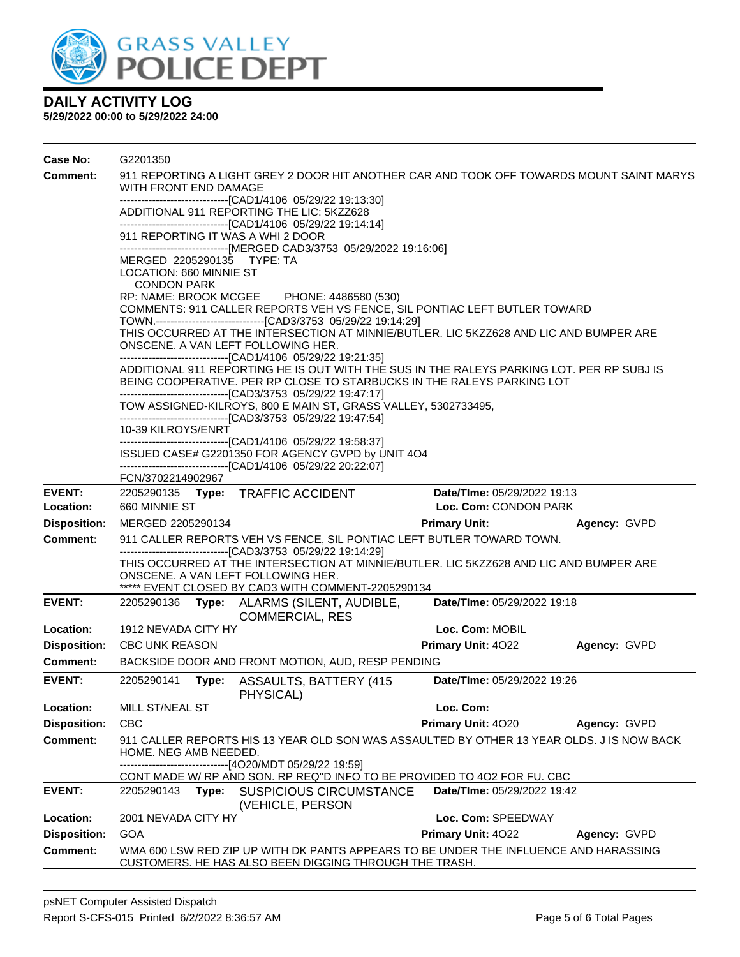

| Case No:            | G2201350                                                                                                                                                                                       |                                                               |                                                                                                                                                             |                             |              |  |
|---------------------|------------------------------------------------------------------------------------------------------------------------------------------------------------------------------------------------|---------------------------------------------------------------|-------------------------------------------------------------------------------------------------------------------------------------------------------------|-----------------------------|--------------|--|
| <b>Comment:</b>     | 911 REPORTING A LIGHT GREY 2 DOOR HIT ANOTHER CAR AND TOOK OFF TOWARDS MOUNT SAINT MARYS<br><b>WITH FRONT END DAMAGE</b>                                                                       |                                                               |                                                                                                                                                             |                             |              |  |
|                     |                                                                                                                                                                                                | --------------------------------[CAD1/4106 05/29/22 19:13:30] |                                                                                                                                                             |                             |              |  |
|                     |                                                                                                                                                                                                |                                                               | ADDITIONAL 911 REPORTING THE LIC: 5KZZ628<br>-------------------------------[CAD1/4106 05/29/22 19:14:14]                                                   |                             |              |  |
|                     |                                                                                                                                                                                                |                                                               | 911 REPORTING IT WAS A WHI 2 DOOR                                                                                                                           |                             |              |  |
|                     |                                                                                                                                                                                                |                                                               | ------------------------------[MERGED CAD3/3753 05/29/2022 19:16:06]                                                                                        |                             |              |  |
|                     | MERGED 2205290135 TYPE: TA                                                                                                                                                                     |                                                               |                                                                                                                                                             |                             |              |  |
|                     | LOCATION: 660 MINNIE ST<br><b>CONDON PARK</b>                                                                                                                                                  |                                                               |                                                                                                                                                             |                             |              |  |
|                     |                                                                                                                                                                                                |                                                               | RP: NAME: BROOK MCGEE PHONE: 4486580 (530)                                                                                                                  |                             |              |  |
|                     |                                                                                                                                                                                                |                                                               | COMMENTS: 911 CALLER REPORTS VEH VS FENCE, SIL PONTIAC LEFT BUTLER TOWARD                                                                                   |                             |              |  |
|                     |                                                                                                                                                                                                |                                                               | TOWN.-------------------------------[CAD3/3753 05/29/22 19:14:29]<br>THIS OCCURRED AT THE INTERSECTION AT MINNIE/BUTLER. LIC 5KZZ628 AND LIC AND BUMPER ARE |                             |              |  |
|                     |                                                                                                                                                                                                |                                                               | ONSCENE. A VAN LEFT FOLLOWING HER.                                                                                                                          |                             |              |  |
|                     |                                                                                                                                                                                                |                                                               | -------------------------------[CAD1/4106 05/29/22 19:21:35]                                                                                                |                             |              |  |
|                     |                                                                                                                                                                                                |                                                               | ADDITIONAL 911 REPORTING HE IS OUT WITH THE SUS IN THE RALEYS PARKING LOT. PER RP SUBJ IS                                                                   |                             |              |  |
|                     |                                                                                                                                                                                                |                                                               | BEING COOPERATIVE. PER RP CLOSE TO STARBUCKS IN THE RALEYS PARKING LOT                                                                                      |                             |              |  |
|                     | -------------------------------[CAD3/3753_05/29/22 19:47:17]<br>TOW ASSIGNED-KILROYS, 800 E MAIN ST, GRASS VALLEY, 5302733495,<br>-------------------------------[CAD3/3753 05/29/22 19:47:54] |                                                               |                                                                                                                                                             |                             |              |  |
|                     | 10-39 KILROYS/ENRT                                                                                                                                                                             |                                                               |                                                                                                                                                             |                             |              |  |
|                     |                                                                                                                                                                                                |                                                               | -------------------------------[CAD1/4106 05/29/22 19:58:37]                                                                                                |                             |              |  |
|                     |                                                                                                                                                                                                |                                                               | ISSUED CASE# G2201350 FOR AGENCY GVPD by UNIT 4O4<br>-------------------------------[CAD1/4106 05/29/22 20:22:07]                                           |                             |              |  |
|                     | FCN/3702214902967                                                                                                                                                                              |                                                               |                                                                                                                                                             |                             |              |  |
| <b>EVENT:</b>       |                                                                                                                                                                                                |                                                               | 2205290135 Type: TRAFFIC ACCIDENT                                                                                                                           | Date/TIme: 05/29/2022 19:13 |              |  |
| Location:           | 660 MINNIE ST                                                                                                                                                                                  |                                                               |                                                                                                                                                             | Loc. Com: CONDON PARK       |              |  |
| <b>Disposition:</b> | MERGED 2205290134                                                                                                                                                                              |                                                               |                                                                                                                                                             | <b>Primary Unit:</b>        | Agency: GVPD |  |
| Comment:            |                                                                                                                                                                                                |                                                               | 911 CALLER REPORTS VEH VS FENCE, SIL PONTIAC LEFT BUTLER TOWARD TOWN.                                                                                       |                             |              |  |
|                     |                                                                                                                                                                                                |                                                               | -------------------------------[CAD3/3753 05/29/22 19:14:29]<br>THIS OCCURRED AT THE INTERSECTION AT MINNIE/BUTLER. LIC 5KZZ628 AND LIC AND BUMPER ARE      |                             |              |  |
|                     |                                                                                                                                                                                                |                                                               | ONSCENE. A VAN LEFT FOLLOWING HER.                                                                                                                          |                             |              |  |
|                     |                                                                                                                                                                                                |                                                               | ***** EVENT CLOSED BY CAD3 WITH COMMENT-2205290134                                                                                                          |                             |              |  |
| <b>EVENT:</b>       | 2205290136                                                                                                                                                                                     |                                                               | Type: ALARMS (SILENT, AUDIBLE,<br><b>COMMERCIAL, RES</b>                                                                                                    | Date/TIme: 05/29/2022 19:18 |              |  |
| Location:           | 1912 NEVADA CITY HY                                                                                                                                                                            |                                                               |                                                                                                                                                             | Loc. Com: MOBIL             |              |  |
| <b>Disposition:</b> | <b>CBC UNK REASON</b>                                                                                                                                                                          |                                                               |                                                                                                                                                             | <b>Primary Unit: 4022</b>   | Agency: GVPD |  |
| <b>Comment:</b>     |                                                                                                                                                                                                |                                                               | BACKSIDE DOOR AND FRONT MOTION, AUD, RESP PENDING                                                                                                           |                             |              |  |
| EVENT:              | 2205290141                                                                                                                                                                                     | Type:                                                         | ASSAULTS, BATTERY (415)<br>PHYSICAL)                                                                                                                        | Date/TIme: 05/29/2022 19:26 |              |  |
| Location:           | MILL ST/NEAL ST                                                                                                                                                                                |                                                               |                                                                                                                                                             | Loc. Com:                   |              |  |
| <b>Disposition:</b> | <b>CBC</b>                                                                                                                                                                                     |                                                               |                                                                                                                                                             | Primary Unit: 4020          | Agency: GVPD |  |
| Comment:            |                                                                                                                                                                                                |                                                               | 911 CALLER REPORTS HIS 13 YEAR OLD SON WAS ASSAULTED BY OTHER 13 YEAR OLDS. J IS NOW BACK                                                                   |                             |              |  |
|                     | HOME. NEG AMB NEEDED.                                                                                                                                                                          |                                                               |                                                                                                                                                             |                             |              |  |
|                     |                                                                                                                                                                                                |                                                               | -------------------------------[4O20/MDT 05/29/22 19:59]<br>CONT MADE W/ RP AND SON. RP REQ"D INFO TO BE PROVIDED TO 402 FOR FU. CBC                        |                             |              |  |
| <b>EVENT:</b>       | 2205290143 <b>Type:</b>                                                                                                                                                                        |                                                               | <b>SUSPICIOUS CIRCUMSTANCE</b>                                                                                                                              | Date/TIme: 05/29/2022 19:42 |              |  |
|                     |                                                                                                                                                                                                |                                                               | (VEHICLE, PERSON                                                                                                                                            |                             |              |  |
| Location:           | 2001 NEVADA CITY HY                                                                                                                                                                            |                                                               |                                                                                                                                                             | Loc. Com: SPEEDWAY          |              |  |
| <b>Disposition:</b> | GOA                                                                                                                                                                                            |                                                               |                                                                                                                                                             | Primary Unit: 4022          | Agency: GVPD |  |
| <b>Comment:</b>     |                                                                                                                                                                                                |                                                               | WMA 600 LSW RED ZIP UP WITH DK PANTS APPEARS TO BE UNDER THE INFLUENCE AND HARASSING<br>CUSTOMERS. HE HAS ALSO BEEN DIGGING THROUGH THE TRASH.              |                             |              |  |